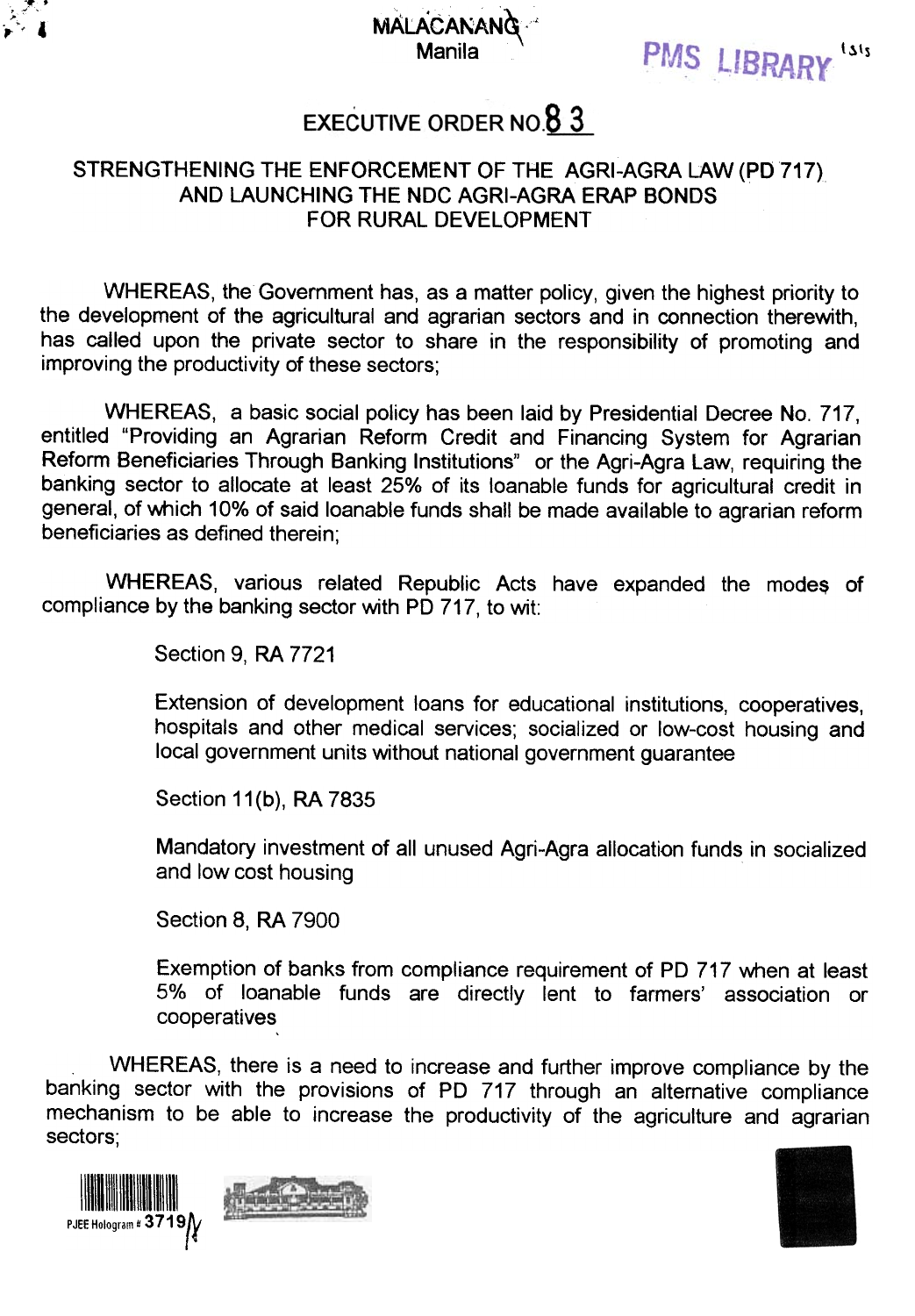

## MALACANANG PMS LIBRARY

## **EXECUTIVE ORDER NO.8 3**

## STRENGTHENING THE ENFORCEMENT OF THE AGRI-AGRA LAW (PO 717) AND LAUNCHING THE NDC AGRI-AGRA ERAP BONDS FOR RURAL DEVELOPMENT

WHEREAS, the Government has, as a matter policy, given the highest priority to the development of the agricultural and agrarian sectors and in connection therewith, has called upon the private sector to share in the responsibility of promoting and improving the productivity of these sectors;

WHEREAS, a basic social policy has been laid by Presidential Decree No. 717, entitled "Providing an Agrarian Reform Credit and Financing System for Agrarian Reform Beneficiaries Through Banking Institutions" or the Agri-Agra Law, requiring the banking sector to allocate at least 25% of its loanable funds for agricultural credit in general, of which 10% of said loanable funds shall be made available to agrarian reform beneficiaries as defined therein;

WHEREAS, various related Republic Acts have expanded the modes of compliance by the banking sector with PO 717, to wit:

Section 9, RA 7721

Extension of development loans for educational institutions, cooperatives, hospitals and other medical services; socialized or low-cost housing and local government units without national government guarantee

Section 11(b), RA 7835

Mandatory investment of all unused Agri-Agra allocation funds in socialized and low cost housing

Section 8, RA 7900

Exemption of banks from compliance requirement of PO 717 when at least 5% of loanable funds are directly lent to farmers' association or cooperatives

WHEREAS, there is a need to increase and further improve compliance by the banking sector with the provisions of PO 717 through an alternative compliance mechanism to be able to increase the productivity of the agriculture and agrarian sectors;





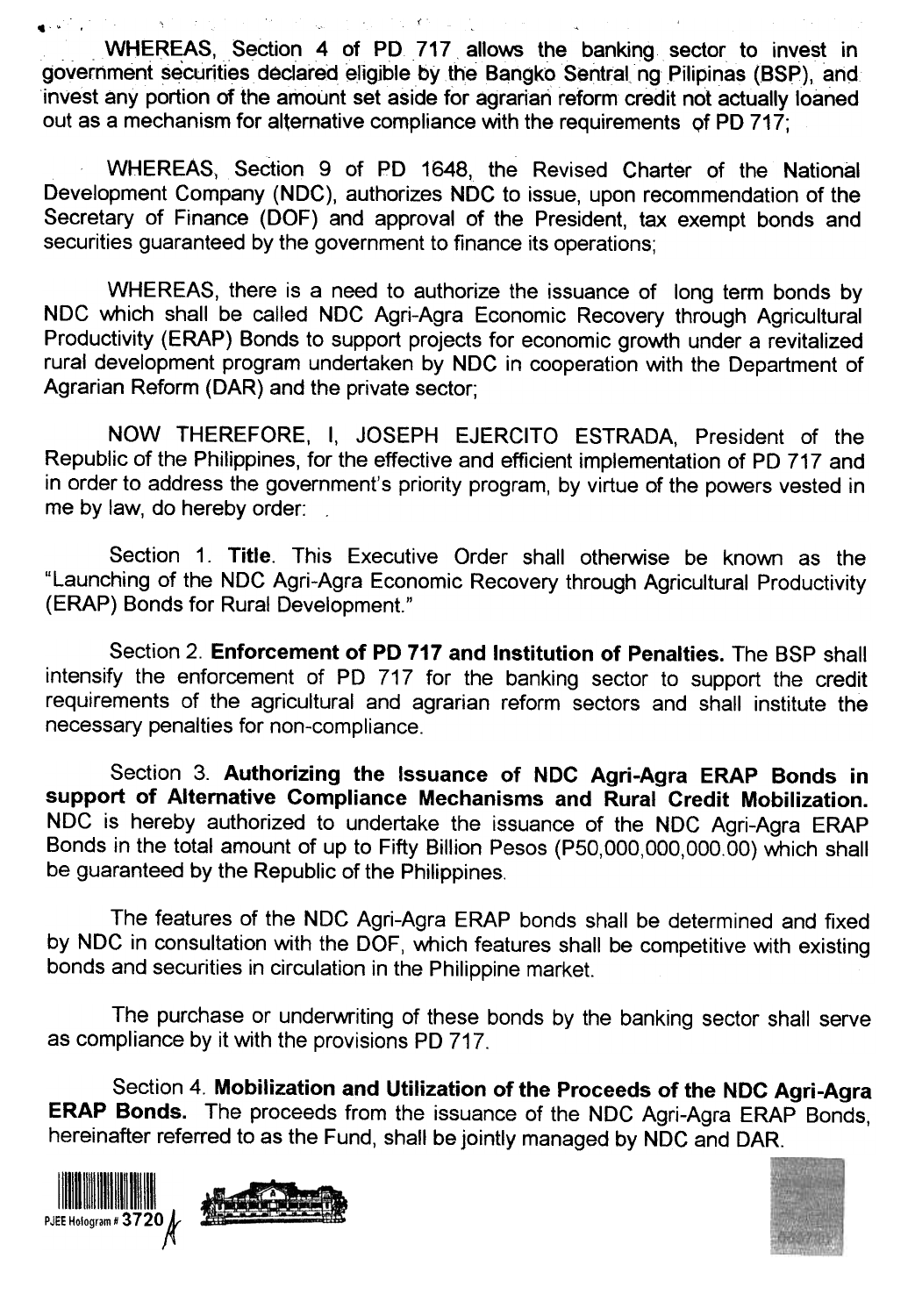$\label{eq:nonlinear} \P\left(\mathbf{v}^{(i)}\right) = \mathbf{v}^{(i)}\cdot\mathbf{v}^{(i)}\cdot\mathbf{v}^{(i)}\cdot\mathbf{v}^{(i)}\cdot\mathbf{v}^{(i)}\cdot\mathbf{v}^{(i)}\cdot\mathbf{v}^{(i)}\cdot\mathbf{v}^{(i)}\cdot\mathbf{v}^{(i)}\cdot\mathbf{v}^{(i)}\cdot\mathbf{v}^{(i)}\cdot\mathbf{v}^{(i)}\cdot\mathbf{v}^{(i)}\cdot\mathbf{v}^{(i)}\cdot\mathbf{v}^{(i)}\cdot\mathbf{v}^{(i)}\cdot\math$ WHEREAS, Section 4 of PD 717 allows the banking sector to invest in government securities declared eligible by the Bangko Sentral ng Pilipinas (BSP), and invest any portion of the amount set aside for agrarian reform credit not actually loaned out as a mechanism for alternative compliance with the requirements of PD  $717$ ;

WHEREAS. Section 9 of PD 1648, the Revised Charter of the National Development Company (NDC), authorizes NDC to issue, upon recommendation of the Secretary of Finance (OOF) and approval of the President, tax exempt bonds and securities guaranteed by the government to finance its operations;

WHEREAS, there is a need to authorize the issuance of long term bonds by NDC which shall be called NDC Agri-Agra Economic Recovery through Agricultural Productivity (ERAP) Bonds to support projects for economic growth under a revitalized rural development program undertaken by NDC in cooperation with the Department of Agrarian Reform (OAR) and the private sector;

NOW THEREFORE, I, JOSEPH EJERCITO ESTRADA, President of the Republic of the Philippines, for the effective and efficient implementation of PO 717 and in order to address the government's priority program, by virtue of the powers vested in me by law, do hereby order:

Section 1. Title. This Executive Order shall otherwise be known as the "Launching of the NDC Agri-Agra Economic Recovery through Agricultural Productivity (ERAP) Bonds for Rural Development."

Section 2. Enforcement of PO 717 and Institution of Penalties. The BSP shall intensify the enforcement of PO 717 for the banking sector to support the credit requirements of the agricultural and agrarian reform sectors and shall institute the necessary penalties for non-compliance.

Section 3. Authorizing the Issuance of NDC Agri-Agra ERAP Bonds in support of Alternative Compliance Mechanisms and Rural Credit Mobilization. NDC is hereby authorized to undertake the issuance of the NDC Agri-Agra ERAP Bonds in the total amount of up to Fifty Billion Pesos (P50,OOO,OOO,OOO.OO) which shall be guaranteed by the Republic of the Philippines.

The features of the NOC Agri-Agra ERAP bonds shall be determined and fixed by NDC in consultation with the DOF, which features shall be competitive with existing bonds and securities in circulation in the Philippine market.

The purchase or underwriting of these bonds by the banking sector shall serve as compliance by it with the provisions PO 717.

Section 4. Mobilization and Utilization of the Proceeds of the NDC Agri-Agra ERAP Bonds. The proceeds from the issuance of the NOC Agri-Agra ERAP Bonds, hereinafter referred to as the Fund, shall be jointly managed by NDC and DAR.